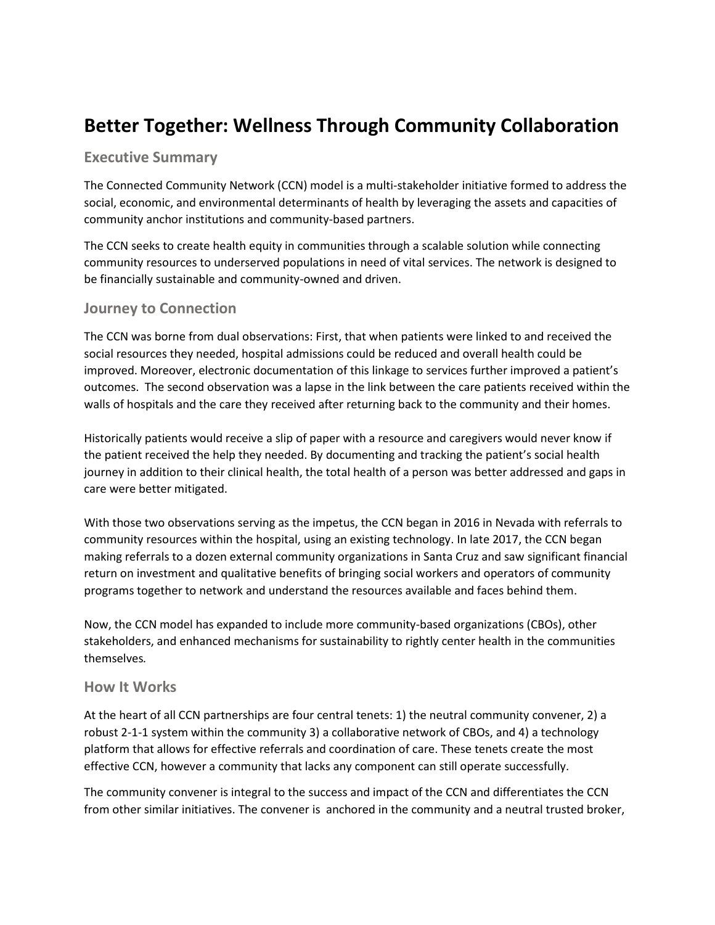# **Better Together: Wellness Through Community Collaboration**

## **Executive Summary**

The Connected Community Network (CCN) model is a multi-stakeholder initiative formed to address the social, economic, and environmental determinants of health by leveraging the assets and capacities of community anchor institutions and community-based partners.

The CCN seeks to create health equity in communities through a scalable solution while connecting community resources to underserved populations in need of vital services. The network is designed to be financially sustainable and community-owned and driven.

## **Journey to Connection**

The CCN was borne from dual observations: First, that when patients were linked to and received the social resources they needed, hospital admissions could be reduced and overall health could be improved. Moreover, electronic documentation of this linkage to services further improved a patient's outcomes. The second observation was a lapse in the link between the care patients received within the walls of hospitals and the care they received after returning back to the community and their homes.

Historically patients would receive a slip of paper with a resource and caregivers would never know if the patient received the help they needed. By documenting and tracking the patient's social health journey in addition to their clinical health, the total health of a person was better addressed and gaps in care were better mitigated.

With those two observations serving as the impetus, the CCN began in 2016 in Nevada with referrals to community resources within the hospital, using an existing technology. In late 2017, the CCN began making referrals to a dozen external community organizations in Santa Cruz and saw significant financial return on investment and qualitative benefits of bringing social workers and operators of community programs together to network and understand the resources available and faces behind them.

Now, the CCN model has expanded to include more community-based organizations (CBOs), other stakeholders, and enhanced mechanisms for sustainability to rightly center health in the communities themselves*.*

### **How It Works**

At the heart of all CCN partnerships are four central tenets: 1) the neutral community convener, 2) a robust 2-1-1 system within the community 3) a collaborative network of CBOs, and 4) a technology platform that allows for effective referrals and coordination of care. These tenets create the most effective CCN, however a community that lacks any component can still operate successfully.

The community convener is integral to the success and impact of the CCN and differentiates the CCN from other similar initiatives. The convener is anchored in the community and a neutral trusted broker,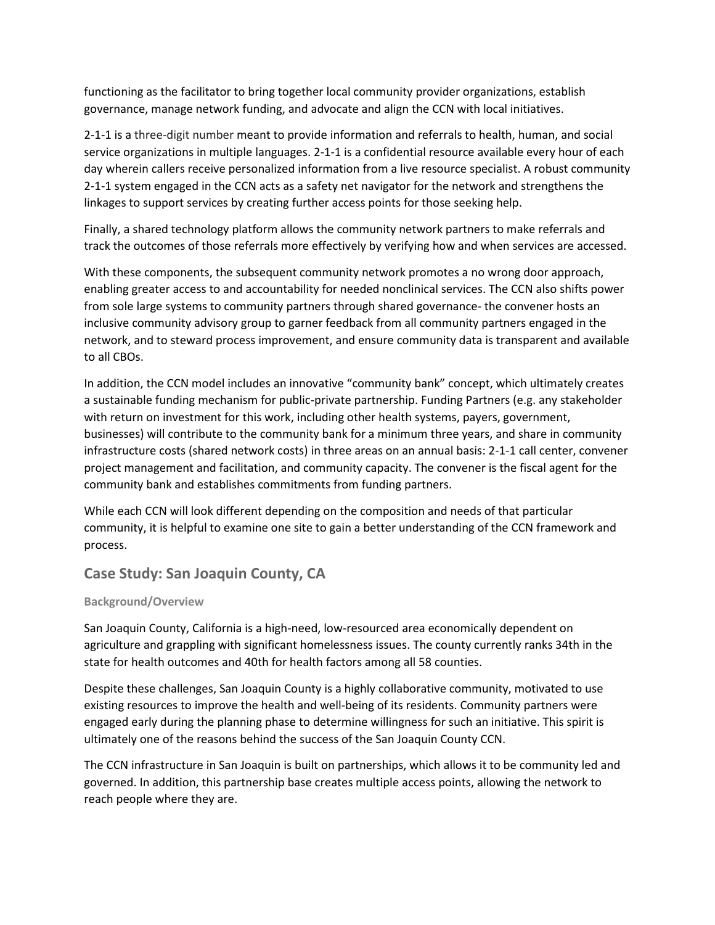functioning as the facilitator to bring together local community provider organizations, establish governance, manage network funding, and advocate and align the CCN with local initiatives.

2-1-1 is a three-digit number meant to provide information and referrals to health, human, and social service organizations in multiple languages. 2-1-1 is a confidential resource available every hour of each day wherein callers receive personalized information from a live resource specialist. A robust community 2-1-1 system engaged in the CCN acts as a safety net navigator for the network and strengthens the linkages to support services by creating further access points for those seeking help.

Finally, a shared technology platform allows the community network partners to make referrals and track the outcomes of those referrals more effectively by verifying how and when services are accessed.

With these components, the subsequent community network promotes a no wrong door approach, enabling greater access to and accountability for needed nonclinical services. The CCN also shifts power from sole large systems to community partners through shared governance- the convener hosts an inclusive community advisory group to garner feedback from all community partners engaged in the network, and to steward process improvement, and ensure community data is transparent and available to all CBOs.

In addition, the CCN model includes an innovative "community bank" concept, which ultimately creates a sustainable funding mechanism for public-private partnership. Funding Partners (e.g. any stakeholder with return on investment for this work, including other health systems, payers, government, businesses) will contribute to the community bank for a minimum three years, and share in community infrastructure costs (shared network costs) in three areas on an annual basis: 2-1-1 call center, convener project management and facilitation, and community capacity. The convener is the fiscal agent for the community bank and establishes commitments from funding partners.

While each CCN will look different depending on the composition and needs of that particular community, it is helpful to examine one site to gain a better understanding of the CCN framework and process.

## **Case Study: San Joaquin County, CA**

#### **Background/Overview**

San Joaquin County, California is a high-need, low-resourced area economically dependent on agriculture and grappling with significant homelessness issues. The county currently ranks 34th in the state for health outcomes and 40th for health factors among all 58 counties.

Despite these challenges, San Joaquin County is a highly collaborative community, motivated to use existing resources to improve the health and well-being of its residents. Community partners were engaged early during the planning phase to determine willingness for such an initiative. This spirit is ultimately one of the reasons behind the success of the San Joaquin County CCN.

The CCN infrastructure in San Joaquin is built on partnerships, which allows it to be community led and governed. In addition, this partnership base creates multiple access points, allowing the network to reach people where they are.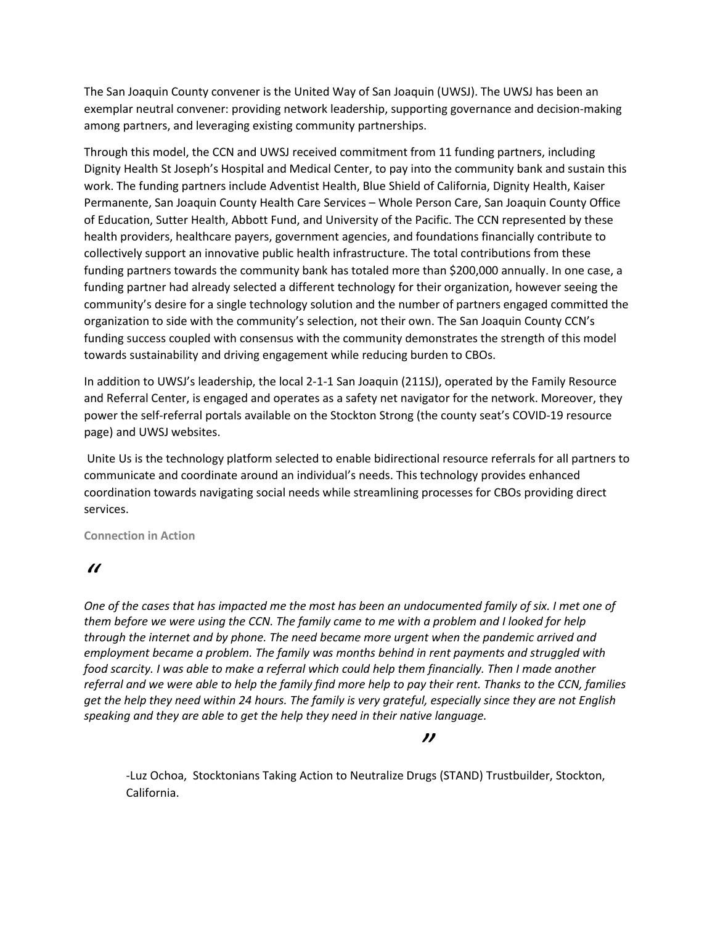The San Joaquin County convener is the United Way of San Joaquin (UWSJ). The UWSJ has been an exemplar neutral convener: providing network leadership, supporting governance and decision-making among partners, and leveraging existing community partnerships.

Through this model, the CCN and UWSJ received commitment from 11 funding partners, including Dignity Health St Joseph's Hospital and Medical Center, to pay into the community bank and sustain this work. The funding partners include Adventist Health, Blue Shield of California, Dignity Health, Kaiser Permanente, San Joaquin County Health Care Services – Whole Person Care, San Joaquin County Office of Education, Sutter Health, Abbott Fund, and University of the Pacific. The CCN represented by these health providers, healthcare payers, government agencies, and foundations financially contribute to collectively support an innovative public health infrastructure. The total contributions from these funding partners towards the community bank has totaled more than \$200,000 annually. In one case, a funding partner had already selected a different technology for their organization, however seeing the community's desire for a single technology solution and the number of partners engaged committed the organization to side with the community's selection, not their own. The San Joaquin County CCN's funding success coupled with consensus with the community demonstrates the strength of this model towards sustainability and driving engagement while reducing burden to CBOs.

In addition to UWSJ's leadership, the local 2-1-1 San Joaquin (211SJ), operated by the Family Resource and Referral Center, is engaged and operates as a safety net navigator for the network. Moreover, they power the self-referral portals available on the Stockton Strong (the county seat's COVID-19 resource page) and UWSJ websites.

Unite Us is the technology platform selected to enable bidirectional resource referrals for all partners to communicate and coordinate around an individual's needs. This technology provides enhanced coordination towards navigating social needs while streamlining processes for CBOs providing direct services.

**Connection in Action**

## *"*

*One of the cases that has impacted me the most has been an undocumented family of six. I met one of them before we were using the CCN. The family came to me with a problem and I looked for help through the internet and by phone. The need became more urgent when the pandemic arrived and employment became a problem. The family was months behind in rent payments and struggled with food scarcity. I was able to make a referral which could help them financially. Then I made another referral and we were able to help the family find more help to pay their rent. Thanks to the CCN, families get the help they need within 24 hours. The family is very grateful, especially since they are not English speaking and they are able to get the help they need in their native language.*

### *"*

-Luz Ochoa, Stocktonians Taking Action to Neutralize Drugs (STAND) Trustbuilder, Stockton, California.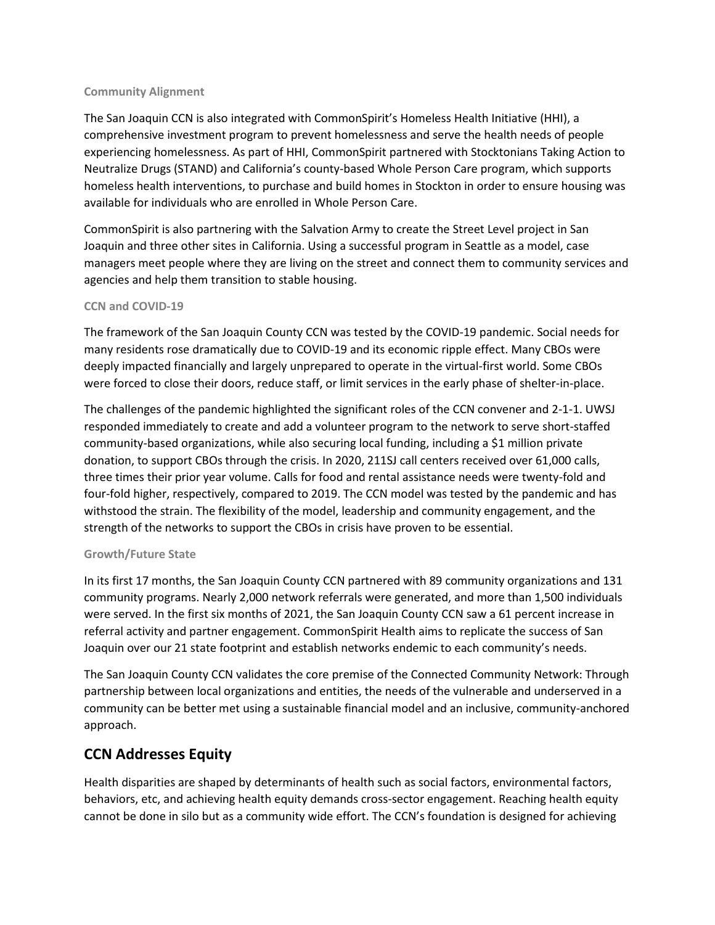#### **Community Alignment**

The San Joaquin CCN is also integrated with CommonSpirit's Homeless Health Initiative (HHI), a comprehensive investment program to prevent homelessness and serve the health needs of people experiencing homelessness. As part of HHI, CommonSpirit partnered with Stocktonians Taking Action to Neutralize Drugs (STAND) and California's county-based Whole Person Care program, which supports homeless health interventions, to purchase and build homes in Stockton in order to ensure housing was available for individuals who are enrolled in Whole Person Care.

CommonSpirit is also partnering with the Salvation Army to create the Street Level project in San Joaquin and three other sites in California. Using a successful program in Seattle as a model, case managers meet people where they are living on the street and connect them to community services and agencies and help them transition to stable housing.

#### **CCN and COVID-19**

The framework of the San Joaquin County CCN was tested by the COVID-19 pandemic. Social needs for many residents rose dramatically due to COVID-19 and its economic ripple effect. Many CBOs were deeply impacted financially and largely unprepared to operate in the virtual-first world. Some CBOs were forced to close their doors, reduce staff, or limit services in the early phase of shelter-in-place.

The challenges of the pandemic highlighted the significant roles of the CCN convener and 2-1-1. UWSJ responded immediately to create and add a volunteer program to the network to serve short-staffed community-based organizations, while also securing local funding, including a \$1 million private donation, to support CBOs through the crisis. In 2020, 211SJ call centers received over 61,000 calls, three times their prior year volume. Calls for food and rental assistance needs were twenty-fold and four-fold higher, respectively, compared to 2019. The CCN model was tested by the pandemic and has withstood the strain. The flexibility of the model, leadership and community engagement, and the strength of the networks to support the CBOs in crisis have proven to be essential.

#### **Growth/Future State**

In its first 17 months, the San Joaquin County CCN partnered with 89 community organizations and 131 community programs. Nearly 2,000 network referrals were generated, and more than 1,500 individuals were served. In the first six months of 2021, the San Joaquin County CCN saw a 61 percent increase in referral activity and partner engagement. CommonSpirit Health aims to replicate the success of San Joaquin over our 21 state footprint and establish networks endemic to each community's needs.

The San Joaquin County CCN validates the core premise of the Connected Community Network: Through partnership between local organizations and entities, the needs of the vulnerable and underserved in a community can be better met using a sustainable financial model and an inclusive, community-anchored approach.

# **CCN Addresses Equity**

Health disparities are shaped by determinants of health such as social factors, environmental factors, behaviors, etc, and achieving health equity demands cross-sector engagement. Reaching health equity cannot be done in silo but as a community wide effort. The CCN's foundation is designed for achieving